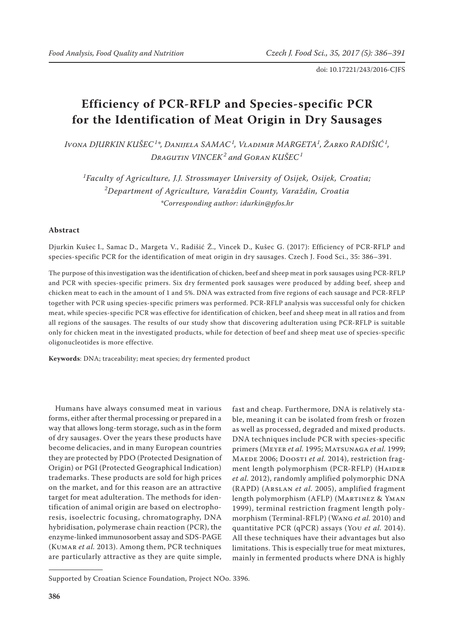# **Efficiency of PCR-RFLP and Species-specific PCR for the Identification of Meat Origin in Dry Sausages**

*Ivona Djurkin Kušec<sup>1</sup> \*, Danijela Samac<sup>1</sup> , Vladimir Margeta<sup>1</sup> , Žarko Radišić<sup>1</sup> , Dragutin Vincek<sup>2</sup> and Goran Kušec<sup>1</sup>*

*1 Faculty of Agriculture, J.J. Strossmayer University of Osijek, Osijek, Croatia; 2 Department of Agriculture, Varaždin County, Varaždin, Croatia \*Corresponding author: idurkin@pfos.hr*

#### **Abstract**

Djurkin Kušec I., Samac D., Margeta V., Radišić Ž., Vincek D., Kušec G. (2017): Efficiency of PCR-RFLP and species-specific PCR for the identification of meat origin in dry sausages. Czech J. Food Sci., 35: 386–391.

The purpose of this investigation was the identification of chicken, beef and sheep meat in pork sausages using PCR-RFLP and PCR with species-specific primers. Six dry fermented pork sausages were produced by adding beef, sheep and chicken meat to each in the amount of 1 and 5%. DNA was extracted from five regions of each sausage and PCR-RFLP together with PCR using species-specific primers was performed. PCR-RFLP analysis was successful only for chicken meat, while species-specific PCR was effective for identification of chicken, beef and sheep meat in all ratios and from all regions of the sausages. The results of our study show that discovering adulteration using PCR-RFLP is suitable only for chicken meat in the investigated products, while for detection of beef and sheep meat use of species-specific oligonucleotides is more effective.

**Keywords**: DNA; traceability; meat species; dry fermented product

Humans have always consumed meat in various forms, either after thermal processing or prepared in a way that allows long-term storage, such as in the form of dry sausages. Over the years these products have become delicacies, and in many European countries they are protected by PDO (Protected Designation of Origin) or PGI (Protected Geographical Indication) trademarks. These products are sold for high prices on the market, and for this reason are an attractive target for meat adulteration. The methods for identification of animal origin are based on electrophoresis, isoelectric focusing, chromatography, DNA hybridisation, polymerase chain reaction (PCR), the enzyme-linked immunosorbent assay and SDS-PAGE (Kumar *et al.* 2013). Among them, PCR techniques are particularly attractive as they are quite simple,

fast and cheap. Furthermore, DNA is relatively stable, meaning it can be isolated from fresh or frozen as well as processed, degraded and mixed products. DNA techniques include PCR with species-specific primers (Meyer *et al.* 1995; Matsunaga *et al.* 1999; MAEDE 2006; DOOSTI et al. 2014), restriction fragment length polymorphism (PCR-RFLP) (HAIDER *et al.* 2012), randomly amplified polymorphic DNA (RAPD) (Arslan *et al.* 2005), amplified fragment length polymorphism (AFLP) (Martinez & Yman 1999), terminal restriction fragment length polymorphism (Terminal-RFLP) (Wang *et al.* 2010) and quantitative PCR (qPCR) assays (You *et al.* 2014). All these techniques have their advantages but also limitations. This is especially true for meat mixtures, mainly in fermented products where DNA is highly

Supported by Croatian Science Foundation, Project NOo. 3396.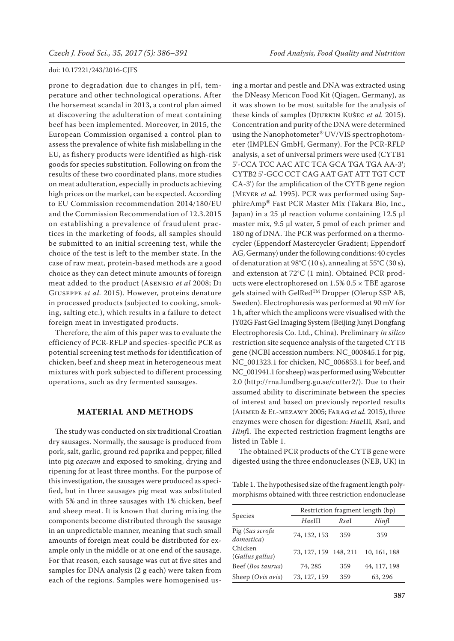prone to degradation due to changes in pH, temperature and other technological operations. After the horsemeat scandal in 2013, a control plan aimed at discovering the adulteration of meat containing beef has been implemented. Moreover, in 2015, the European Commission organised a control plan to assess the prevalence of white fish mislabelling in the EU, as fishery products were identified as high-risk goods for species substitution. Following on from the results of these two coordinated plans, more studies on meat adulteration, especially in products achieving high prices on the market, can be expected. According to EU Commission recommendation 2014/180/EU and the Commission Recommendation of 12.3.2015 on establishing a prevalence of fraudulent practices in the marketing of foods, all samples should be submitted to an initial screening test, while the choice of the test is left to the member state. In the case of raw meat, protein-based methods are a good choice as they can detect minute amounts of foreign meat added to the product (Asensio *et al* 2008; Di Giuseppe *et al.* 2015). However, proteins denature in processed products (subjected to cooking, smoking, salting etc.), which results in a failure to detect foreign meat in investigated products.

Therefore, the aim of this paper was to evaluate the efficiency of PCR-RFLP and species-specific PCR as potential screening test methods for identification of chicken, beef and sheep meat in heterogeneous meat mixtures with pork subjected to different processing operations, such as dry fermented sausages.

# **MATERIAL AND METHODS**

The study was conducted on six traditional Croatian dry sausages. Normally, the sausage is produced from pork, salt, garlic, ground red paprika and pepper, filled into pig *caecum* and exposed to smoking, drying and ripening for at least three months. For the purpose of this investigation, the sausages were produced as specified, but in three sausages pig meat was substituted with 5% and in three sausages with 1% chicken, beef and sheep meat. It is known that during mixing the components become distributed through the sausage in an unpredictable manner, meaning that such small amounts of foreign meat could be distributed for example only in the middle or at one end of the sausage. For that reason, each sausage was cut at five sites and samples for DNA analysis (2 g each) were taken from each of the regions. Samples were homogenised using a mortar and pestle and DNA was extracted using the DNeasy Mericon Food Kit (Qiagen, Germany), as it was shown to be most suitable for the analysis of these kinds of samples (Djurkin Kušec *et al.* 2015). Concentration and purity of the DNA were determined using the Nanophotometer® UV/VIS spectrophotometer (IMPLEN GmbH, Germany). For the PCR-RFLP analysis, a set of universal primers were used (CYTB1 5'-CCA TCC AAC ATC TCA GCA TGA TGA AA-3'; CYTB2 5'-GCC CCT CAG AAT GAT ATT TGT CCT CA-3') for the amplification of the CYTB gene region (Meyer *et al.* 1995). PCR was performed using SapphireAmp® Fast PCR Master Mix (Takara Bio, Inc., Japan) in a 25 µl reaction volume containing 12.5 µl master mix, 9.5 µl water, 5 pmol of each primer and 180 ng of DNA. The PCR was performed on a thermocycler (Eppendorf Mastercycler Gradient; Eppendorf AG, Germany) under the following conditions: 40 cycles of denaturation at 98°C (10 s), annealing at 55°C (30 s), and extension at 72°C (1 min). Obtained PCR products were electrophoresed on 1.5% 0.5 × TBE agarose gels stained with GelRed™ Dropper (Olerup SSP AB, Sweden). Electrophoresis was performed at 90 mV for 1 h, after which the amplicons were visualised with the JY02G Fast Gel Imaging System (Beijing Junyi Dongfang Electrophoresis Co. Ltd., China). Preliminary *in silico* restriction site sequence analysis of the targeted CYTB gene (NCBI accession numbers: NC\_000845.1 for pig, NC\_001323.1 for chicken, NC\_006853.1 for beef, and NC\_001941.1 for sheep) was performed using Webcutter 2.0 (http://rna.lundberg.gu.se/cutter2/). Due to their assumed ability to discriminate between the species of interest and based on previously reported results (Ahmed & El-mezawy 2005; Farag *et al.* 2015), three enzymes were chosen for digestion: *Hae*III*, Rsa*I, and *Hinf*I. The expected restriction fragment lengths are listed in Table 1.

The obtained PCR products of the CYTB gene were digested using the three endonucleases (NEB, UK) in

Table 1. The hypothesised size of the fragment length polymorphisms obtained with three restriction endonuclease

| Species                       | Restriction fragment length (bp) |      |              |  |
|-------------------------------|----------------------------------|------|--------------|--|
|                               | HaeIII                           | RsaI | Hinfl        |  |
| Pig (Sus scrofa<br>domestica) | 74, 132, 153                     | 359  | 359          |  |
| Chicken<br>(Gallus gallus)    | 73, 127, 159 148, 211            |      | 10, 161, 188 |  |
| Beef (Bos taurus)             | 74, 285                          | 359  | 44, 117, 198 |  |
| Sheep (Ovis ovis)             | 73, 127, 159                     | 359  | 63, 296      |  |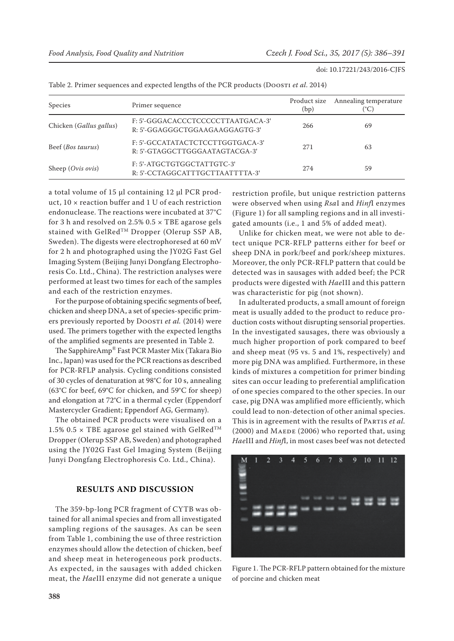| Species                          | Primer sequence                                                     | Product size<br>(bp) | Annealing temperature<br>(°C |
|----------------------------------|---------------------------------------------------------------------|----------------------|------------------------------|
| Chicken ( <i>Gallus gallus</i> ) | F: 5'-GGGACACCCTCCCCCTTAATGACA-3'<br>R: 5'-GGAGGGCTGGAAGAAGGAGTG-3' | 266                  | 69                           |
| Beef ( <i>Bos taurus</i> )       | F: 5'-GCCATATACTCTCCTTGGTGACA-3'<br>R: 5'-GTAGGCTTGGGAATAGTACGA-3'  | 271                  | 63                           |
| Sheep (Ovis ovis)                | F: 5'-ATGCTGTGGCTATTGTC-3'<br>R: 5'-CCTAGGCATTTGCTTAATTTTA-3'       | 2.74                 | 59                           |

Table 2. Primer sequences and expected lengths of the PCR products (Doosti *et al*. 2014)

a total volume of 15 µl containing 12 µl PCR product, 10 × reaction buffer and 1 U of each restriction endonuclease. The reactions were incubated at 37°C for 3 h and resolved on  $2.5\%$  0.5  $\times$  TBE agarose gels stained with GelRed<sup>TM</sup> Dropper (Olerup SSP AB, Sweden). The digests were electrophoresed at 60 mV for 2 h and photographed using the JY02G Fast Gel Imaging System (Beijing Junyi Dongfang Electrophoresis Co. Ltd., China). The restriction analyses were performed at least two times for each of the samples and each of the restriction enzymes.

For the purpose of obtaining specific segments of beef, chicken and sheep DNA, a set of species-specific primers previously reported by DOOSTI *et al.* (2014) were used. The primers together with the expected lengths of the amplified segments are presented in Table 2.

The SapphireAmp® Fast PCR Master Mix (Takara Bio Inc., Japan) was used for the PCR reactions as described for PCR-RFLP analysis. Cycling conditions consisted of 30 cycles of denaturation at 98°C for 10 s, annealing (63°C for beef, 69°C for chicken, and 59°C for sheep) and elongation at 72°C in a thermal cycler (Eppendorf Mastercycler Gradient; Eppendorf AG, Germany).

The obtained PCR products were visualised on a 1.5% 0.5  $\times$  TBE agarose gel stained with GelRed<sup>TM</sup> Dropper (Olerup SSP AB, Sweden) and photographed using the JY02G Fast Gel Imaging System (Beijing Junyi Dongfang Electrophoresis Co. Ltd., China).

## **RESULTS AND DISCUSSION**

The 359-bp-long PCR fragment of CYTB was obtained for all animal species and from all investigated sampling regions of the sausages. As can be seen from Table 1, combining the use of three restriction enzymes should allow the detection of chicken, beef and sheep meat in heterogeneous pork products. As expected, in the sausages with added chicken meat, the *Hae*III enzyme did not generate a unique

restriction profile, but unique restriction patterns were observed when using *Rsa*I and *Hinf*I enzymes (Figure 1) for all sampling regions and in all investigated amounts (i.e., 1 and 5% of added meat).

Unlike for chicken meat, we were not able to detect unique PCR-RFLP patterns either for beef or sheep DNA in pork/beef and pork/sheep mixtures. Moreover, the only PCR-RFLP pattern that could be detected was in sausages with added beef; the PCR products were digested with *Hae*III and this pattern was characteristic for pig (not shown).

In adulterated products, a small amount of foreign meat is usually added to the product to reduce production costs without disrupting sensorial properties. In the investigated sausages, there was obviously a much higher proportion of pork compared to beef and sheep meat (95 vs. 5 and 1%, respectively) and more pig DNA was amplified. Furthermore, in these kinds of mixtures a competition for primer binding sites can occur leading to preferential amplification of one species compared to the other species. In our case, pig DNA was amplified more efficiently, which could lead to non-detection of other animal species. This is in agreement with the results of Partis *et al.*  $(2000)$  and MAEDE  $(2006)$  who reported that, using *Hae*III and *Hinf*I, in most cases beef was not detected



Figure 1. The PCR-RFLP pattern obtained for the mixture of porcine and chicken meat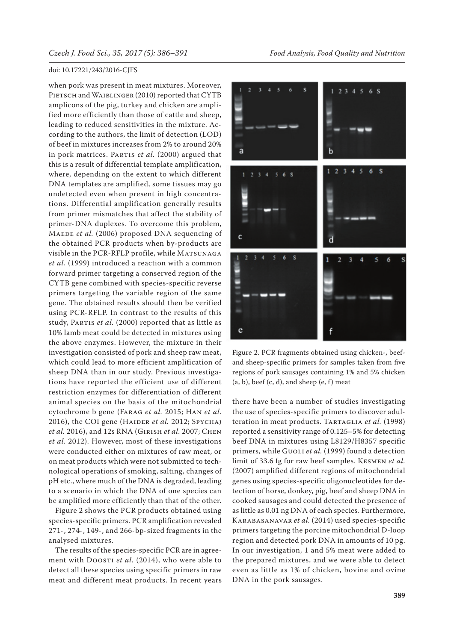when pork was present in meat mixtures. Moreover, PIETSCH and WAIBLINGER (2010) reported that CYTB amplicons of the pig, turkey and chicken are amplified more efficiently than those of cattle and sheep, leading to reduced sensitivities in the mixture. According to the authors, the limit of detection (LOD) of beef in mixtures increases from 2% to around 20% in pork matrices. PARTIS *et al.* (2000) argued that this is a result of differential template amplification, where, depending on the extent to which different DNA templates are amplified, some tissues may go undetected even when present in high concentrations. Differential amplification generally results from primer mismatches that affect the stability of primer-DNA duplexes. To overcome this problem, Maede *et al.* (2006) proposed DNA sequencing of the obtained PCR products when by-products are visible in the PCR-RFLP profile, while MATSUNAGA *et al.* (1999) introduced a reaction with a common forward primer targeting a conserved region of the CYTB gene combined with species-specific reverse primers targeting the variable region of the same gene. The obtained results should then be verified using PCR-RFLP. In contrast to the results of this study, Partis *et al.* (2000) reported that as little as 10% lamb meat could be detected in mixtures using the above enzymes. However, the mixture in their investigation consisted of pork and sheep raw meat, which could lead to more efficient amplification of sheep DNA than in our study. Previous investigations have reported the efficient use of different restriction enzymes for differentiation of different animal species on the basis of the mitochondrial cytochrome b gene (Farag *et al.* 2015; Han *et al.* 2016), the COI gene (HAIDER et al. 2012; SPYCHAJ *et al.* 2016), and 12s RNA (Girish *et al.* 2007; Chen *et al.* 2012). However, most of these investigations were conducted either on mixtures of raw meat, or on meat products which were not submitted to technological operations of smoking, salting, changes of pH etc., where much of the DNA is degraded, leading to a scenario in which the DNA of one species can be amplified more efficiently than that of the other.

Figure 2 shows the PCR products obtained using species-specific primers. PCR amplification revealed 271-, 274-, 149-, and 266-bp-sized fragments in the analysed mixtures.

The results of the species-specific PCR are in agreement with DOOSTI et al. (2014), who were able to detect all these species using specific primers in raw meat and different meat products. In recent years



Figure 2. PCR fragments obtained using chicken-, beefand sheep-specific primers for samples taken from five regions of pork sausages containing 1% and 5% chicken  $(a, b)$ , beef  $(c, d)$ , and sheep  $(e, f)$  meat

there have been a number of studies investigating the use of species-specific primers to discover adulteration in meat products. TARTAGLIA et al. (1998) reported a sensitivity range of 0.125–5% for detecting beef DNA in mixtures using L8129/H8357 specific primers, while GUOLI et al. (1999) found a detection limit of 33.6 fg for raw beef samples. Kesmen *et al.* (2007) amplified different regions of mitochondrial genes using species-specific oligonucleotides for detection of horse, donkey, pig, beef and sheep DNA in cooked sausages and could detected the presence of as little as 0.01 ng DNA of each species. Furthermore, Karabasanavar *et al.* (2014) used species-specific primers targeting the porcine mitochondrial D-loop region and detected pork DNA in amounts of 10 pg. In our investigation, 1 and 5% meat were added to the prepared mixtures, and we were able to detect even as little as 1% of chicken, bovine and ovine DNA in the pork sausages.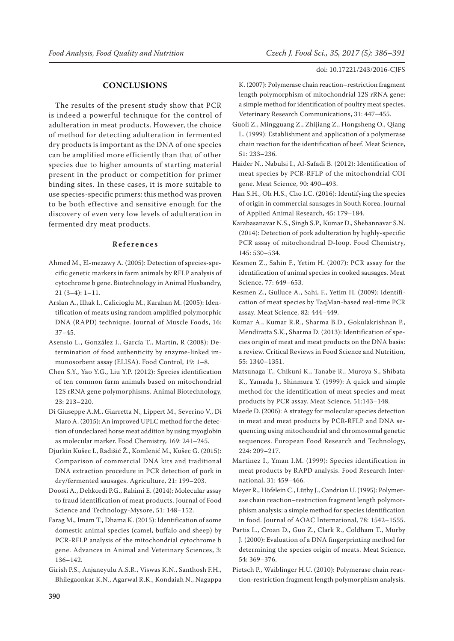### **CONCLUSIONS**

The results of the present study show that PCR is indeed a powerful technique for the control of adulteration in meat products. However, the choice of method for detecting adulteration in fermented dry products is important as the DNA of one species can be amplified more efficiently than that of other species due to higher amounts of starting material present in the product or competition for primer binding sites. In these cases, it is more suitable to use species-specific primers: this method was proven to be both effective and sensitive enough for the discovery of even very low levels of adulteration in fermented dry meat products.

#### **References**

- Ahmed M., El-mezawy A. (2005): Detection of species-specific genetic markers in farm animals by RFLP analysis of cytochrome b gene. Biotechnology in Animal Husbandry, 21 (3–4): 1–11.
- Arslan A., Ilhak I., Calicioglu M., Karahan M. (2005): Identification of meats using random amplified polymorphic DNA (RAPD) technique. Journal of Muscle Foods, 16: 37–45.
- Asensio L., González I., García T., Martín, R (2008): Determination of food authenticity by enzyme-linked immunosorbent assay (ELISA). Food Control, 19: 1–8.
- Chen S.Y., Yao Y.G., Liu Y.P. (2012): Species identification of ten common farm animals based on mitochondrial 12S rRNA gene polymorphisms. Animal Biotechnology, 23: 213–220.
- Di Giuseppe A.M., Giarretta N., Lippert M., Severino V., Di Maro A. (2015): An improved UPLC method for the detection of undeclared horse meat addition by using myoglobin as molecular marker. Food Chemistry, 169: 241–245.
- Djurkin Kušec I., Radišić Ž., Komlenić M., Kušec G. (2015): Comparison of commercial DNA kits and traditional DNA extraction procedure in PCR detection of pork in dry/fermented sausages. Agriculture, 21: 199–203.
- Doosti A., Dehkordi P.G., Rahimi E. (2014): Molecular assay to fraud identification of meat products. Journal of Food Science and Technology-Mysore, 51: 148–152.
- Farag M., Imam T., Dhama K. (2015): Identification of some domestic animal species (camel, buffalo and sheep) by PCR-RFLP analysis of the mitochondrial cytochrome b gene. Advances in Animal and Veterinary Sciences, 3: 136–142.
- Girish P.S., Anjaneyulu A.S.R., Viswas K.N., Santhosh F.H., Bhilegaonkar K.N., Agarwal R.K., Kondaiah N., Nagappa

#### doi: 10.17221/243/2016-CJFS

K. (2007): Polymerase chain reaction–restriction fragment length polymorphism of mitochondrial 12S rRNA gene: a simple method for identification of poultry meat species. Veterinary Research Communications, 31: 447–455.

- Guoli Z., Mingguang Z., Zhijiang Z., Hongsheng O., Qiang L. (1999): Establishment and application of a polymerase chain reaction for the identification of beef. Meat Science, 51: 233–236.
- Haider N., Nabulsi I., Al-Safadi B. (2012): Identification of meat species by PCR-RFLP of the mitochondrial COI gene. Meat Science, 90: 490–493.
- Han S.H., Oh H.S., Cho I.C. (2016): Identifying the species of origin in commercial sausages in South Korea. Journal of Applied Animal Research, 45: 179–184.
- Karabasanavar N.S., Singh S.P., Kumar D., Shebannavar S.N. (2014): Detection of pork adulteration by highly-specific PCR assay of mitochondrial D-loop. Food Chemistry, 145: 530–534.
- Kesmen Z., Sahin F., Yetim H. (2007): PCR assay for the identification of animal species in cooked sausages. Meat Science, 77: 649–653.
- Kesmen Z., Gulluce A., Sahi, F., Yetim H. (2009): Identification of meat species by TaqMan-based real-time PCR assay. Meat Science, 82: 444–449.
- Kumar A., Kumar R.R., Sharma B.D., Gokulakrishnan P., Mendiratta S.K., Sharma D. (2013): Identification of species origin of meat and meat products on the DNA basis: a review. Critical Reviews in Food Science and Nutrition, 55: 1340–1351.
- Matsunaga T., Chikuni K., Tanabe R., Muroya S., Shibata K., Yamada J., Shinmura Y. (1999): A quick and simple method for the identification of meat species and meat products by PCR assay. Meat Science, 51:143–148.
- Maede D. (2006): A strategy for molecular species detection in meat and meat products by PCR-RFLP and DNA sequencing using mitochondrial and chromosomal genetic sequences. European Food Research and Technology, 224: 209–217.
- Martinez I., Yman I.M. (1999): Species identification in meat products by RAPD analysis. Food Research International, 31: 459–466.
- Meyer R., Höfelein C., Lüthy J., Candrian U. (1995): Polymerase chain reaction–restriction fragment length polymorphism analysis: a simple method for species identification in food. Journal of AOAC International, 78: 1542–1555.
- Partis L., Croan D., Guo Z., Clark R., Coldham T., Murby J. (2000): Evaluation of a DNA fingerprinting method for determining the species origin of meats. Meat Science, 54: 369–376.
- Pietsch P., Waiblinger H.U. (2010): Polymerase chain reaction-restriction fragment length polymorphism analysis.